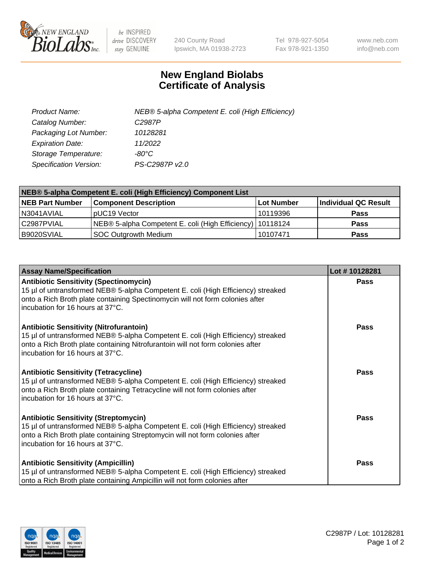

 $be$  INSPIRED drive DISCOVERY stay GENUINE

240 County Road Ipswich, MA 01938-2723 Tel 978-927-5054 Fax 978-921-1350 www.neb.com info@neb.com

## **New England Biolabs Certificate of Analysis**

| Product Name:           | NEB® 5-alpha Competent E. coli (High Efficiency) |
|-------------------------|--------------------------------------------------|
| Catalog Number:         | C <sub>2987</sub> P                              |
| Packaging Lot Number:   | 10128281                                         |
| <b>Expiration Date:</b> | 11/2022                                          |
| Storage Temperature:    | -80°C                                            |
| Specification Version:  | PS-C2987P v2.0                                   |

| NEB® 5-alpha Competent E. coli (High Efficiency) Component List |                                                             |            |                      |  |
|-----------------------------------------------------------------|-------------------------------------------------------------|------------|----------------------|--|
| <b>NEB Part Number</b>                                          | <b>Component Description</b>                                | Lot Number | Individual QC Result |  |
| N3041AVIAL                                                      | pUC19 Vector                                                | 10119396   | <b>Pass</b>          |  |
| C2987PVIAL                                                      | NEB® 5-alpha Competent E. coli (High Efficiency)   10118124 |            | <b>Pass</b>          |  |
| B9020SVIAL                                                      | <b>SOC Outgrowth Medium</b>                                 | 10107471   | <b>Pass</b>          |  |

| <b>Assay Name/Specification</b>                                                                                                                                                                                                                          | Lot #10128281 |
|----------------------------------------------------------------------------------------------------------------------------------------------------------------------------------------------------------------------------------------------------------|---------------|
| <b>Antibiotic Sensitivity (Spectinomycin)</b><br>15 µl of untransformed NEB® 5-alpha Competent E. coli (High Efficiency) streaked<br>onto a Rich Broth plate containing Spectinomycin will not form colonies after<br>incubation for 16 hours at 37°C.   | Pass          |
| <b>Antibiotic Sensitivity (Nitrofurantoin)</b><br>15 µl of untransformed NEB® 5-alpha Competent E. coli (High Efficiency) streaked<br>onto a Rich Broth plate containing Nitrofurantoin will not form colonies after<br>incubation for 16 hours at 37°C. | Pass          |
| <b>Antibiotic Sensitivity (Tetracycline)</b><br>15 µl of untransformed NEB® 5-alpha Competent E. coli (High Efficiency) streaked<br>onto a Rich Broth plate containing Tetracycline will not form colonies after<br>Incubation for 16 hours at 37°C.     | <b>Pass</b>   |
| <b>Antibiotic Sensitivity (Streptomycin)</b><br>15 µl of untransformed NEB® 5-alpha Competent E. coli (High Efficiency) streaked<br>onto a Rich Broth plate containing Streptomycin will not form colonies after<br>incubation for 16 hours at 37°C.     | Pass          |
| <b>Antibiotic Sensitivity (Ampicillin)</b><br>15 µl of untransformed NEB® 5-alpha Competent E. coli (High Efficiency) streaked<br>onto a Rich Broth plate containing Ampicillin will not form colonies after                                             | Pass          |